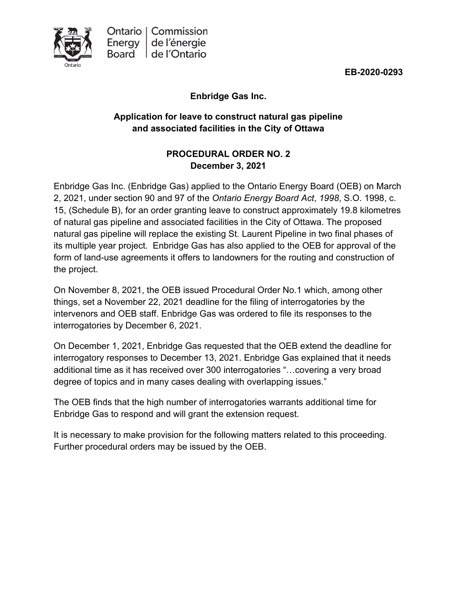

**EB-2020-0293**

# **Enbridge Gas Inc.**

# **Application for leave to construct natural gas pipeline and associated facilities in the City of Ottawa**

### **PROCEDURAL ORDER NO. 2 December 3, 2021**

Enbridge Gas Inc. (Enbridge Gas) applied to the Ontario Energy Board (OEB) on March 2, 2021, under section 90 and 97 of the *Ontario Energy Board Act*, *1998*, S.O. 1998, c. 15, (Schedule B), for an order granting leave to construct approximately 19.8 kilometres of natural gas pipeline and associated facilities in the City of Ottawa. The proposed natural gas pipeline will replace the existing St. Laurent Pipeline in two final phases of its multiple year project. Enbridge Gas has also applied to the OEB for approval of the form of land-use agreements it offers to landowners for the routing and construction of the project.

On November 8, 2021, the OEB issued Procedural Order No.1 which, among other things, set a November 22, 2021 deadline for the filing of interrogatories by the intervenors and OEB staff. Enbridge Gas was ordered to file its responses to the interrogatories by December 6, 2021.

On December 1, 2021, Enbridge Gas requested that the OEB extend the deadline for interrogatory responses to December 13, 2021. Enbridge Gas explained that it needs additional time as it has received over 300 interrogatories "…covering a very broad degree of topics and in many cases dealing with overlapping issues."

The OEB finds that the high number of interrogatories warrants additional time for Enbridge Gas to respond and will grant the extension request.

It is necessary to make provision for the following matters related to this proceeding. Further procedural orders may be issued by the OEB.